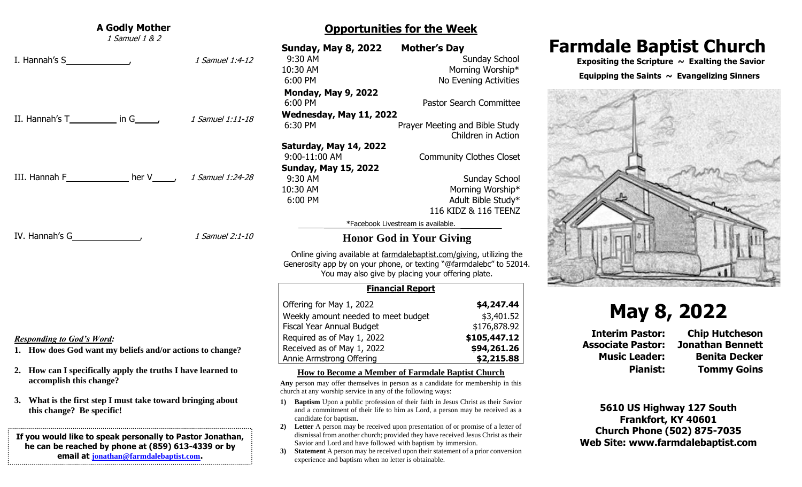| <b>A Godly Mother</b><br>1 Samuel 1 & 2                                                                                                                                             | <b>Opportunities for the Week</b>                                                                                                                                                                                                                                                                                                                                                                      |                                                                                                                                                                                                                                                     |  |
|-------------------------------------------------------------------------------------------------------------------------------------------------------------------------------------|--------------------------------------------------------------------------------------------------------------------------------------------------------------------------------------------------------------------------------------------------------------------------------------------------------------------------------------------------------------------------------------------------------|-----------------------------------------------------------------------------------------------------------------------------------------------------------------------------------------------------------------------------------------------------|--|
| 1 Samuel 1:4-12                                                                                                                                                                     | <b>Sunday, May 8, 2022</b><br>9:30 AM<br>10:30 AM<br>6:00 PM                                                                                                                                                                                                                                                                                                                                           | <b>Mother's Day</b><br><b>Sunday School</b><br>Morning Worship*<br>No Evening Activities                                                                                                                                                            |  |
| II. Hannah's $T$ in $G$ ,<br>1 Samuel 1:11-18                                                                                                                                       | <b>Monday, May 9, 2022</b><br>6:00 PM<br>Wednesday, May 11, 2022<br>6:30 PM                                                                                                                                                                                                                                                                                                                            | <b>Pastor Search Committee</b><br>Prayer Meeting and Bible Study<br>Children in Action                                                                                                                                                              |  |
| III. Hannah F $\qquad \qquad$ her V $\qquad \qquad$ 1 Samuel 1:24-28                                                                                                                | Saturday, May 14, 2022<br>9:00-11:00 AM<br><b>Sunday, May 15, 2022</b><br>9:30 AM<br>10:30 AM<br>6:00 PM                                                                                                                                                                                                                                                                                               | <b>Community Clothes Closet</b><br>Sunday School<br>Morning Worship*<br>Adult Bible Study*                                                                                                                                                          |  |
| 1 Samuel 2:1-10                                                                                                                                                                     | 116 KIDZ & 116 TEENZ<br>*Facebook Livestream is available.<br><b>Honor God in Your Giving</b><br>Online giving available at farmdalebaptist.com/giving, utilizing the<br>Generosity app by on your phone, or texting "@farmdalebc" to 52014.                                                                                                                                                           |                                                                                                                                                                                                                                                     |  |
|                                                                                                                                                                                     | You may also give by placing your offering plate.<br><b>Financial Report</b>                                                                                                                                                                                                                                                                                                                           |                                                                                                                                                                                                                                                     |  |
| <b>Responding to God's Word:</b><br>1. How does God want my beliefs and/or actions to change?                                                                                       | Offering for May 1, 2022<br>Weekly amount needed to meet budget<br>Fiscal Year Annual Budget<br>Required as of May 1, 2022<br>Received as of May 1, 2022<br>Annie Armstrong Offering                                                                                                                                                                                                                   | \$4,247.44<br>\$3,401.52<br>\$176,878.92<br>\$105,447.12<br>\$94,261.26<br>\$2,215.88                                                                                                                                                               |  |
| 2. How can I specifically apply the truths I have learned to<br>accomplish this change?<br>3. What is the first step I must take toward bringing about<br>this change? Be specific! | How to Become a Member of Farmdale Baptist Church<br>Any person may offer themselves in person as a candidate for membership in this<br>church at any worship service in any of the following ways:<br>Baptism Upon a public profession of their faith in Jesus Christ as their Savior<br>1)<br>and a commitment of their life to him as Lord, a person may be received as a<br>candidate for baptism. |                                                                                                                                                                                                                                                     |  |
| If you would like to speak personally to Pastor Jonathan,<br>he can be reached by phone at (859) 613-4339 or by<br>email at jonathan@farmdalebaptist.com.                           | 2)<br>Savior and Lord and have followed with baptism by immersion.<br>3)<br>experience and baptism when no letter is obtainable.                                                                                                                                                                                                                                                                       | Letter A person may be received upon presentation of or promise of a letter of<br>dismissal from another church; provided they have received Jesus Christ as their<br>Statement A person may be received upon their statement of a prior conversion |  |

## **Farmdale Baptist Church**

 **Expositing the Scripture ~ Exalting the Savior**

#### **Equipping the Saints ~ Evangelizing Sinners**



# **May 8, 2022**

**Music Leader: Benita Decker Pianist: Tommy Goins**

**5610 US Highway 127 South Frankfort, KY 40601 Church Phone (502) 875-7035 Web Site: www.farmdalebaptist.com**

**Interim Pastor: Chip Hutcheson Associate Pastor: Jonathan Bennett**